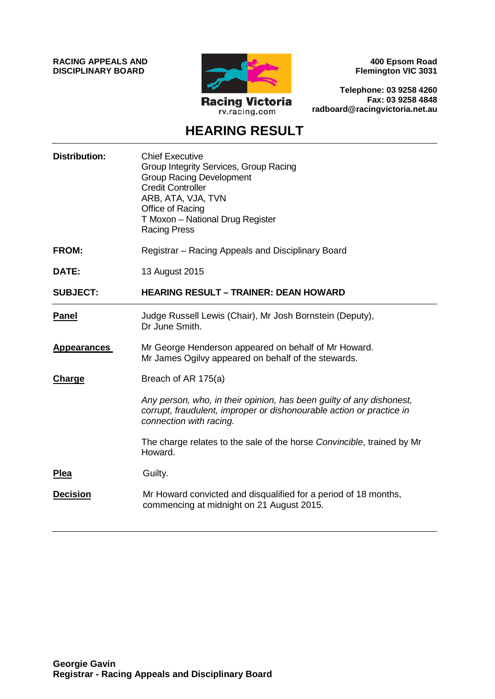**RACING APPEALS AND DISCIPLINARY BOARD**



**400 Epsom Road Flemington VIC 3031**

**Telephone: 03 9258 4260 Fax: 03 9258 4848 radboard@racingvictoria.net.au**

# **HEARING RESULT**

| <b>Distribution:</b> | <b>Chief Executive</b><br>Group Integrity Services, Group Racing<br><b>Group Racing Development</b><br><b>Credit Controller</b><br>ARB, ATA, VJA, TVN<br>Office of Racing<br>T Moxon - National Drug Register<br><b>Racing Press</b> |
|----------------------|--------------------------------------------------------------------------------------------------------------------------------------------------------------------------------------------------------------------------------------|
| <b>FROM:</b>         | Registrar - Racing Appeals and Disciplinary Board                                                                                                                                                                                    |
| DATE:                | 13 August 2015                                                                                                                                                                                                                       |
| <b>SUBJECT:</b>      | <b>HEARING RESULT - TRAINER: DEAN HOWARD</b>                                                                                                                                                                                         |
| <b>Panel</b>         | Judge Russell Lewis (Chair), Mr Josh Bornstein (Deputy),<br>Dr June Smith.                                                                                                                                                           |
| <b>Appearances</b>   | Mr George Henderson appeared on behalf of Mr Howard.<br>Mr James Ogilvy appeared on behalf of the stewards.                                                                                                                          |
| Charge               | Breach of AR 175(a)                                                                                                                                                                                                                  |
|                      | Any person, who, in their opinion, has been guilty of any dishonest,<br>corrupt, fraudulent, improper or dishonourable action or practice in<br>connection with racing.                                                              |
|                      | The charge relates to the sale of the horse Convincible, trained by Mr<br>Howard.                                                                                                                                                    |
| <b>Plea</b>          | Guilty.                                                                                                                                                                                                                              |
| <b>Decision</b>      | Mr Howard convicted and disqualified for a period of 18 months,<br>commencing at midnight on 21 August 2015.                                                                                                                         |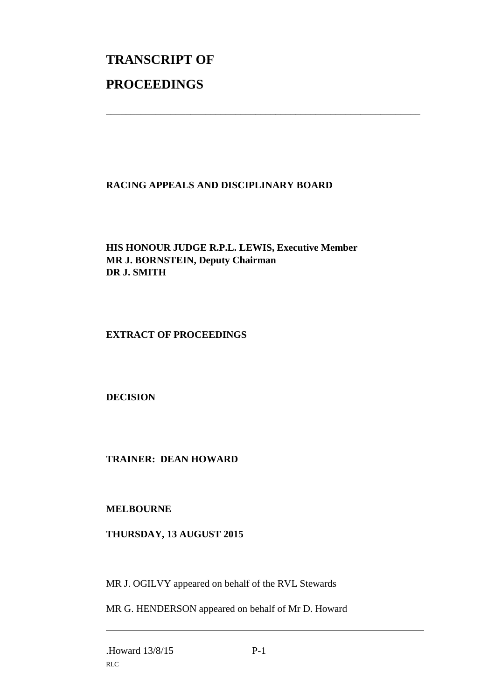# **TRANSCRIPT OF PROCEEDINGS**

# **RACING APPEALS AND DISCIPLINARY BOARD**

\_\_\_\_\_\_\_\_\_\_\_\_\_\_\_\_\_\_\_\_\_\_\_\_\_\_\_\_\_\_\_\_\_\_\_\_\_\_\_\_\_\_\_\_\_\_\_\_\_\_\_\_\_\_\_\_\_\_\_\_\_\_\_

# **HIS HONOUR JUDGE R.P.L. LEWIS, Executive Member MR J. BORNSTEIN, Deputy Chairman DR J. SMITH**

#### **EXTRACT OF PROCEEDINGS**

# **DECISION**

#### **TRAINER: DEAN HOWARD**

#### **MELBOURNE**

#### **THURSDAY, 13 AUGUST 2015**

MR J. OGILVY appeared on behalf of the RVL Stewards

MR G. HENDERSON appeared on behalf of Mr D. Howard